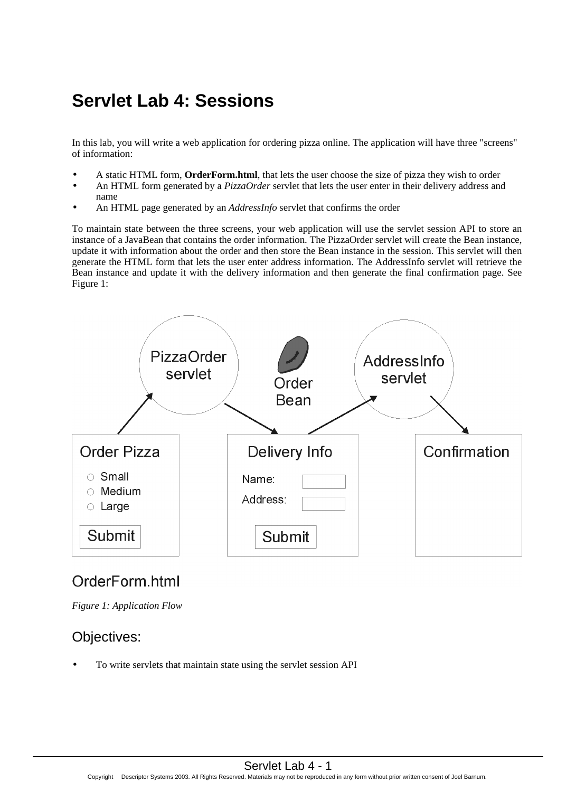# **Servlet Lab 4: Sessions**

In this lab, you will write a web application for ordering pizza online. The application will have three "screens" of information:

- A static HTML form, **OrderForm.html**, that lets the user choose the size of pizza they wish to order
- An HTML form generated by a *PizzaOrder* servlet that lets the user enter in their delivery address and name
- An HTML page generated by an *AddressInfo* servlet that confirms the order

To maintain state between the three screens, your web application will use the servlet session API to store an instance of a JavaBean that contains the order information. The PizzaOrder servlet will create the Bean instance, update it with information about the order and then store the Bean instance in the session. This servlet will then generate the HTML form that lets the user enter address information. The AddressInfo servlet will retrieve the Bean instance and update it with the delivery information and then generate the final confirmation page. See Figure 1:



## OrderForm.html

*Figure 1: Application Flow*

## Objectives:

• To write servlets that maintain state using the servlet session API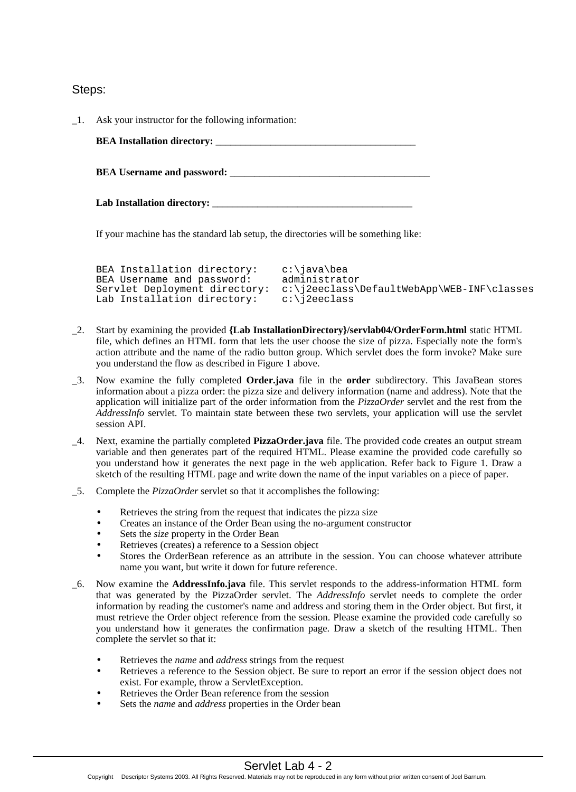Steps:

| $\Box$ Ask your instructor for the following information: |
|-----------------------------------------------------------|
|                                                           |
|                                                           |
|                                                           |

If your machine has the standard lab setup, the directories will be something like:

| BEA Installation directory:   | c:\java\bea                                |
|-------------------------------|--------------------------------------------|
| BEA Username and password:    | administrator                              |
| Servlet Deployment directory: | c:\j2eeclass\DefaultWebApp\WEB-INF\classes |
| Lab Installation directory:   | c:\i2eeclass                               |

- \_2. Start by examining the provided **{Lab InstallationDirectory}/servlab04/OrderForm.html** static HTML file, which defines an HTML form that lets the user choose the size of pizza. Especially note the form's action attribute and the name of the radio button group. Which servlet does the form invoke? Make sure you understand the flow as described in Figure 1 above.
- \_3. Now examine the fully completed **Order.java** file in the **order** subdirectory. This JavaBean stores information about a pizza order: the pizza size and delivery information (name and address). Note that the application will initialize part of the order information from the *PizzaOrder* servlet and the rest from the *AddressInfo* servlet. To maintain state between these two servlets, your application will use the servlet session API.
- \_4. Next, examine the partially completed **PizzaOrder.java** file. The provided code creates an output stream variable and then generates part of the required HTML. Please examine the provided code carefully so you understand how it generates the next page in the web application. Refer back to Figure 1. Draw a sketch of the resulting HTML page and write down the name of the input variables on a piece of paper.
- \_5. Complete the *PizzaOrder* servlet so that it accomplishes the following:
	- Retrieves the string from the request that indicates the pizza size
	- Creates an instance of the Order Bean using the no-argument constructor
	- Sets the *size* property in the Order Bean
	- Retrieves (creates) a reference to a Session object
	- Stores the OrderBean reference as an attribute in the session. You can choose whatever attribute name you want, but write it down for future reference.
- \_6. Now examine the **AddressInfo.java** file. This servlet responds to the address-information HTML form that was generated by the PizzaOrder servlet. The *AddressInfo* servlet needs to complete the order information by reading the customer's name and address and storing them in the Order object. But first, it must retrieve the Order object reference from the session. Please examine the provided code carefully so you understand how it generates the confirmation page. Draw a sketch of the resulting HTML. Then complete the servlet so that it:
	- Retrieves the *name* and *address* strings from the request
	- Retrieves a reference to the Session object. Be sure to report an error if the session object does not exist. For example, throw a ServletException.
	- Retrieves the Order Bean reference from the session
	- Sets the *name* and *address* properties in the Order bean

Copyright © Descriptor Systems 2003. All Rights Reserved. Materials may not be reproduced in any form without prior written consent of Joel Barnum.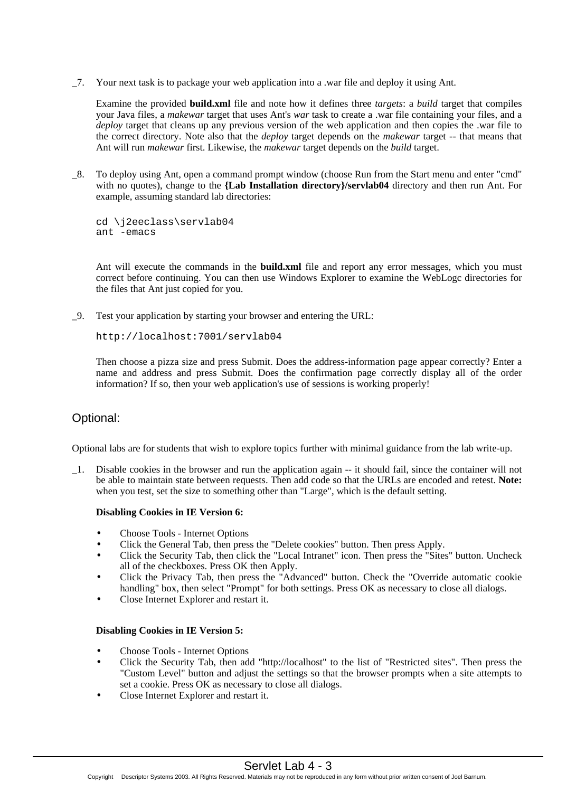\_7. Your next task is to package your web application into a .war file and deploy it using Ant.

Examine the provided **build.xml** file and note how it defines three *targets*: a *build* target that compiles your Java files, a *makewar* target that uses Ant's *war* task to create a .war file containing your files, and a *deploy* target that cleans up any previous version of the web application and then copies the .war file to the correct directory. Note also that the *deploy* target depends on the *makewar* target -- that means that Ant will run *makewar* first. Likewise, the *makewar* target depends on the *build* target.

\_8. To deploy using Ant, open a command prompt window (choose Run from the Start menu and enter "cmd" with no quotes), change to the **{Lab Installation directory}/servlab04** directory and then run Ant. For example, assuming standard lab directories:

```
cd \j2eeclass\servlab04
ant -emacs
```
Ant will execute the commands in the **build.xml** file and report any error messages, which you must correct before continuing. You can then use Windows Explorer to examine the WebLogc directories for the files that Ant just copied for you.

\_9. Test your application by starting your browser and entering the URL:

```
http://localhost:7001/servlab04
```
Then choose a pizza size and press Submit. Does the address-information page appear correctly? Enter a name and address and press Submit. Does the confirmation page correctly display all of the order information? If so, then your web application's use of sessions is working properly!

### Optional:

Optional labs are for students that wish to explore topics further with minimal guidance from the lab write-up.

\_1. Disable cookies in the browser and run the application again -- it should fail, since the container will not be able to maintain state between requests. Then add code so that the URLs are encoded and retest. **Note:** when you test, set the size to something other than "Large", which is the default setting.

#### **Disabling Cookies in IE Version 6:**

- Choose Tools Internet Options
- Click the General Tab, then press the "Delete cookies" button. Then press Apply.
- Click the Security Tab, then click the "Local Intranet" icon. Then press the "Sites" button. Uncheck all of the checkboxes. Press OK then Apply.
- Click the Privacy Tab, then press the "Advanced" button. Check the "Override automatic cookie handling" box, then select "Prompt" for both settings. Press OK as necessary to close all dialogs.
- Close Internet Explorer and restart it.

#### **Disabling Cookies in IE Version 5:**

- Choose Tools Internet Options
- Click the Security Tab, then add "http://localhost" to the list of "Restricted sites". Then press the "Custom Level" button and adjust the settings so that the browser prompts when a site attempts to set a cookie. Press OK as necessary to close all dialogs.
- Close Internet Explorer and restart it.